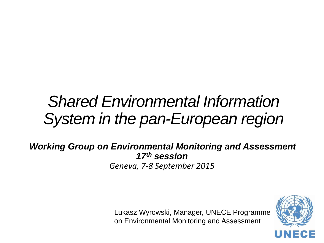# *Shared Environmental Information System in the pan-European region*

*Working Group on Environmental Monitoring and Assessment 17th session Geneva, 7-8 September 2015*

> Lukasz Wyrowski, Manager, UNECE Programme on Environmental Monitoring and Assessment

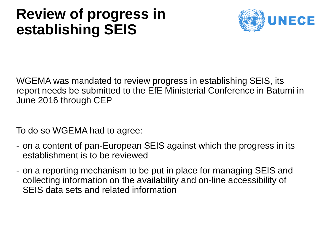### **Review of progress in establishing SEIS**



WGEMA was mandated to review progress in establishing SEIS, its report needs be submitted to the EfE Ministerial Conference in Batumi in June 2016 through CEP

To do so WGEMA had to agree:

- on a content of pan-European SEIS against which the progress in its establishment is to be reviewed
- on a reporting mechanism to be put in place for managing SEIS and collecting information on the availability and on-line accessibility of SEIS data sets and related information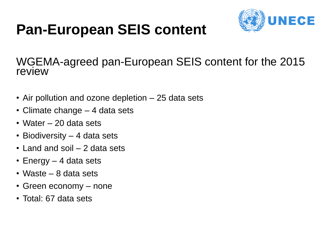# **Pan-European SEIS content**



WGEMA-agreed pan-European SEIS content for the 2015 review

- Air pollution and ozone depletion 25 data sets
- Climate change 4 data sets
- Water 20 data sets
- Biodiversity 4 data sets
- Land and soil 2 data sets
- Energy 4 data sets
- Waste 8 data sets
- Green economy none
- Total: 67 data sets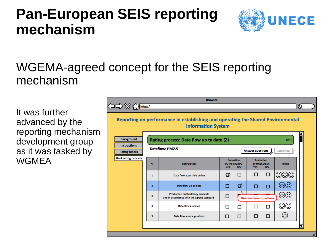### **Pan-European SEIS reporting mechanism**



#### WGEMA-agreed concept for the SEIS reporting mechanism

It was further advanced by the reporting mechanism development group as it was tasked by **WGMEA** 

|                                                                         |              | Reporting on performance in establishing and operating the Shared Environmental<br><b>Information System</b> |                                                                                                                                |   |                                |   |                         |  |  |  |  |  |
|-------------------------------------------------------------------------|--------------|--------------------------------------------------------------------------------------------------------------|--------------------------------------------------------------------------------------------------------------------------------|---|--------------------------------|---|-------------------------|--|--|--|--|--|
| <b>Background</b><br>Rating process: Data flow up to date (2)<br>(2015) |              |                                                                                                              |                                                                                                                                |   |                                |   |                         |  |  |  |  |  |
| <b>Instructions</b><br><b>Rating blocks</b>                             |              | Dataflow: PM2.5                                                                                              | <b>Answer questions</b>                                                                                                        |   |                                |   | Continue                |  |  |  |  |  |
| <b>Start rating process</b>                                             | $N^{\circ}$  | <b>Rating block</b>                                                                                          | <b>Evaluation</b><br><b>Evaluation</b><br>by the country<br>by UNECE/EEA<br><b>YES</b><br><b>NO</b><br><b>YES</b><br><b>NO</b> |   |                                |   | Rating                  |  |  |  |  |  |
|                                                                         | 1            | Data flow accessible online                                                                                  | ॼ                                                                                                                              | □ | п                              | □ |                         |  |  |  |  |  |
|                                                                         | $\mathbf{z}$ | Data flow up-to-date                                                                                         | П                                                                                                                              | ₫ | п                              | п |                         |  |  |  |  |  |
|                                                                         | 3            | Production methodology available<br>and in accordance with the agreed standard                               | □                                                                                                                              |   | <b>Please answer questions</b> |   | $\odot\!\!\!\mathbb{C}$ |  |  |  |  |  |
|                                                                         | 4            | <b>Data flow assessed</b>                                                                                    | □                                                                                                                              | □ |                                | п | ⊙⊙                      |  |  |  |  |  |
|                                                                         | 5            | Data flow source provided                                                                                    | □                                                                                                                              | □ | □                              | □ | $_{\odot}$              |  |  |  |  |  |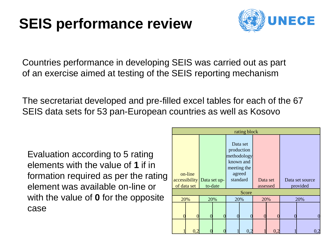# **SEIS performance review**



Countries performance in developing SEIS was carried out as part of an exercise aimed at testing of the SEIS reporting mechanism

The secretariat developed and pre-filled excel tables for each of the 67 SEIS data sets for 53 pan-European countries as well as Kosovo

Evaluation according to 5 rating elements with the value of **1** if in formation required as per the rating element was available on-line or with the value of **0** for the opposite case

| rating block |                        |                            |         |     |                                                                                         |                      |     |                             |                |  |  |
|--------------|------------------------|----------------------------|---------|-----|-----------------------------------------------------------------------------------------|----------------------|-----|-----------------------------|----------------|--|--|
|              | on-line<br>of data set | accessibility Data set up- | to-date |     | Data set<br>production<br>methodology<br>known and<br>meeting the<br>agreed<br>standard | Data set<br>assessed |     | Data set source<br>provided |                |  |  |
| Score        |                        |                            |         |     |                                                                                         |                      |     |                             |                |  |  |
| 20%          |                        | 20%                        |         | 20% |                                                                                         | 20%                  |     | 20%                         |                |  |  |
|              |                        |                            |         |     |                                                                                         |                      |     |                             | $\overline{0}$ |  |  |
|              | 0,2                    |                            |         |     | 0,2                                                                                     |                      | 0,2 |                             | 0,2            |  |  |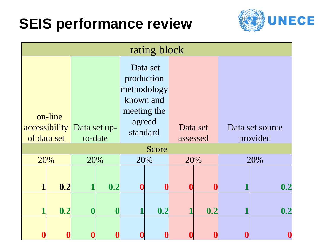# **SEIS performance review**



| rating block                                           |     |                  |                  |                                                                                         |     |                      |     |                             |     |  |
|--------------------------------------------------------|-----|------------------|------------------|-----------------------------------------------------------------------------------------|-----|----------------------|-----|-----------------------------|-----|--|
| on-line<br>accessibility   Data set up-<br>of data set |     |                  | to-date          | Data set<br>production<br>methodology<br>known and<br>meeting the<br>agreed<br>standard |     | Data set<br>assessed |     | Data set source<br>provided |     |  |
| 20%                                                    |     | 20%              |                  | Score<br>20%                                                                            |     | 20%                  |     | 20%                         |     |  |
|                                                        | 0.2 |                  | 0.2              |                                                                                         |     |                      |     |                             | 0.2 |  |
|                                                        | 0.2 | $\boldsymbol{0}$ | $\boldsymbol{0}$ |                                                                                         | 0.2 |                      | 0.2 |                             | 0.2 |  |
|                                                        |     |                  |                  |                                                                                         |     |                      |     |                             |     |  |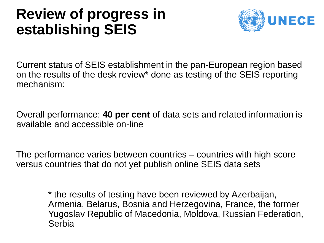### **Review of progress in establishing SEIS**



Current status of SEIS establishment in the pan-European region based on the results of the desk review\* done as testing of the SEIS reporting mechanism:

Overall performance: **40 per cent** of data sets and related information is available and accessible on-line

The performance varies between countries – countries with high score versus countries that do not yet publish online SEIS data sets

> \* the results of testing have been reviewed by Azerbaijan, Armenia, Belarus, Bosnia and Herzegovina, France, the former Yugoslav Republic of Macedonia, Moldova, Russian Federation, Serbia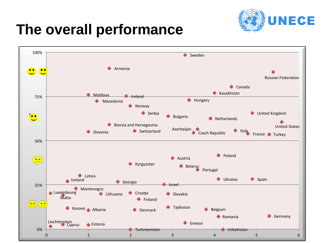

### **The overall performance**

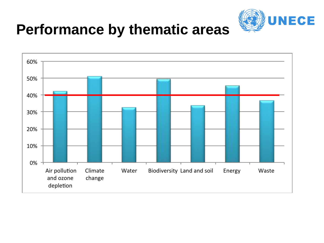

### **Performance by thematic areas**

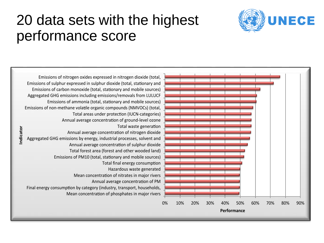

### 20 data sets with the highest performance score

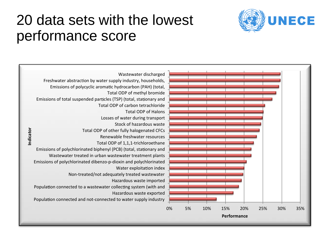

#### 20 data sets with the lowest performance score

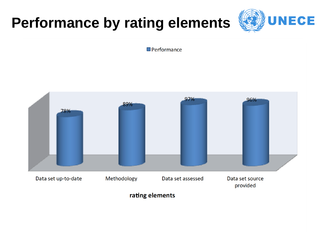# **Performance by rating elements**



 $\blacksquare$  Performance

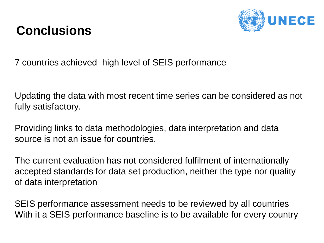### **Conclusions**



7 countries achieved high level of SEIS performance

Updating the data with most recent time series can be considered as not fully satisfactory.

Providing links to data methodologies, data interpretation and data source is not an issue for countries.

The current evaluation has not considered fulfilment of internationally accepted standards for data set production, neither the type nor quality of data interpretation

SEIS performance assessment needs to be reviewed by all countries With it a SEIS performance baseline is to be available for every country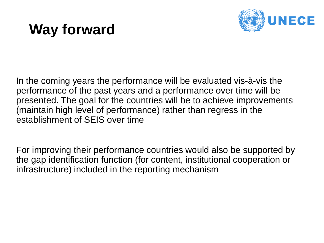# **Way forward**



In the coming years the performance will be evaluated vis-à-vis the performance of the past years and a performance over time will be presented. The goal for the countries will be to achieve improvements (maintain high level of performance) rather than regress in the establishment of SEIS over time

For improving their performance countries would also be supported by the gap identification function (for content, institutional cooperation or infrastructure) included in the reporting mechanism